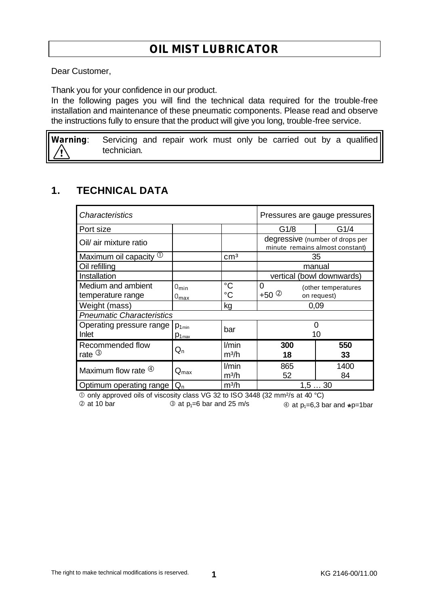# **OIL MIST LUBRICATOR**

Dear Customer,

Thank you for your confidence in our product.

In the following pages you will find the technical data required for the trouble-free installation and maintenance of these pneumatic components. Please read and observe the instructions fully to ensure that the product will give you long, trouble-free service.

**Warning**: Servicing and repair work must only be carried out by a qualified technician.

#### **1. TECHNICAL DATA**

| Characteristics                        |                          |                            | Pressures are gauge pressures                                      |                     |
|----------------------------------------|--------------------------|----------------------------|--------------------------------------------------------------------|---------------------|
| Port size                              |                          |                            | G1/8                                                               | G1/4                |
| Oil/ air mixture ratio                 |                          |                            | degressive (number of drops per<br>minute remains almost constant) |                     |
| Maximum oil capacity $\mathbb O$       |                          | cm <sup>3</sup>            | 35                                                                 |                     |
| Oil refilling                          |                          |                            | manual                                                             |                     |
| Installation                           |                          |                            | vertical (bowl downwards)                                          |                     |
| Medium and ambient                     | $0_{\text{min}}$         | $^{\circ}C$                | $\Omega$                                                           | (other temperatures |
| temperature range                      | $0_{\text{max}}$         | $^{\circ}C$                | +50 $\circledcirc$                                                 | on request)         |
| Weight (mass)                          |                          | kg                         | 0,09                                                               |                     |
| <b>Pneumatic Characteristics</b>       |                          |                            |                                                                    |                     |
| Operating pressure range<br>Inlet      | $p_{1min}$<br>$p_{1max}$ | bar                        | 0<br>10                                                            |                     |
| Recommended flow<br>rate $\circled{3}$ | $\mathsf{Q}_\mathsf{n}$  | l/min<br>m <sup>3</sup> /h | 300<br>18                                                          | 550<br>33           |
| Maximum flow rate $\Phi$               | $Q_{\text{max}}$         | l/min<br>m <sup>3</sup> /h | 865<br>52                                                          | 1400<br>84          |
| Optimum operating range                | $Q_{n}$                  | m <sup>3</sup> /h          | 1, 530                                                             |                     |

Å only approved oils of viscosity class VG 32 to ISO 3448 (32 mm²/s at 40 °C)

 $\textcircled{2}$  at 10 bar  $\textcircled{3}$  at p<sub>1</sub>=6 bar and 25 m/s  $\textcircled{4}$  at p<sub>1</sub>=6,3 bar and  $\textcircled{4}$  p=1bar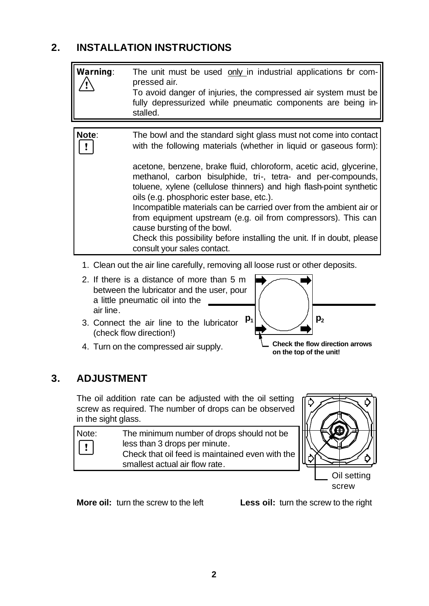# **2. INSTALLATION INSTRUCTIONS**

| Warning: | The unit must be used only in industrial applications br com-<br>pressed air.<br>To avoid danger of injuries, the compressed air system must be<br>fully depressurized while pneumatic components are being in-<br>stalled.                                                                                                                                                                                                                                                                                                                                                                                                                                                   |
|----------|-------------------------------------------------------------------------------------------------------------------------------------------------------------------------------------------------------------------------------------------------------------------------------------------------------------------------------------------------------------------------------------------------------------------------------------------------------------------------------------------------------------------------------------------------------------------------------------------------------------------------------------------------------------------------------|
|          |                                                                                                                                                                                                                                                                                                                                                                                                                                                                                                                                                                                                                                                                               |
| Note:    | The bowl and the standard sight glass must not come into contact<br>with the following materials (whether in liquid or gaseous form):<br>acetone, benzene, brake fluid, chloroform, acetic acid, glycerine,<br>methanol, carbon bisulphide, tri-, tetra- and per-compounds,<br>toluene, xylene (cellulose thinners) and high flash-point synthetic<br>oils (e.g. phosphoric ester base, etc.).<br>Incompatible materials can be carried over from the ambient air or<br>from equipment upstream (e.g. oil from compressors). This can<br>cause bursting of the bowl.<br>Check this possibility before installing the unit. If in doubt, please<br>consult your sales contact. |

- 1. Clean out the air line carefully, removing all loose rust or other deposits.
- 2. If there is a distance of more than 5 m between the lubricator and the user, pour a little pneumatic oil into the air line.
- 3. Connect the air line to the lubricator (check flow direction!)
- 4. Turn on the compressed air supply.



**Check the flow direction arrows on the top of the unit!**

#### **3. ADJUSTMENT**

The oil addition rate can be adjusted with the oil setting screw as required. The number of drops can be observed in the sight glass.

| Note:                                    | The minimum number of drops should not be       |
|------------------------------------------|-------------------------------------------------|
| $\begin{array}{c} \boxed{1} \end{array}$ | less than 3 drops per minute.                   |
|                                          | Check that oil feed is maintained even with the |
|                                          | smallest actual air flow rate.                  |



**More oil:** turn the screw to the left **Less oil:** turn the screw to the right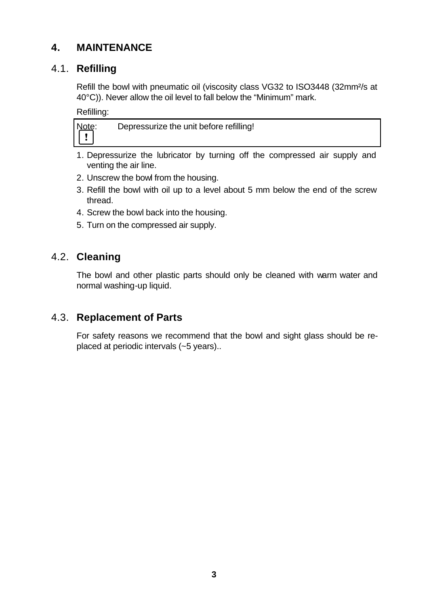# **4. MAINTENANCE**

# 4.1. **Refilling**

Refill the bowl with pneumatic oil (viscosity class VG32 to ISO3448 (32mm²/s at 40°C)). Never allow the oil level to fall below the "Minimum" mark.

Refilling:

- 1. Depressurize the lubricator by turning off the compressed air supply and venting the air line.
- 2. Unscrew the bowl from the housing.
- 3. Refill the bowl with oil up to a level about 5 mm below the end of the screw thread.
- 4. Screw the bowl back into the housing.
- 5. Turn on the compressed air supply.

#### 4.2. **Cleaning**

The bowl and other plastic parts should only be cleaned with warm water and normal washing-up liquid.

### 4.3. **Replacement of Parts**

For safety reasons we recommend that the bowl and sight glass should be replaced at periodic intervals (~5 years)..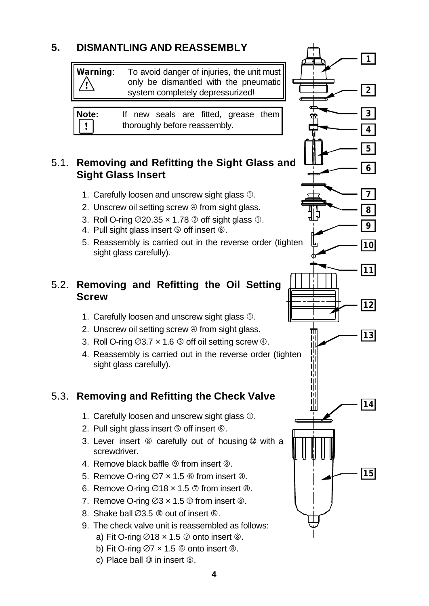# **5. DISMANTLING AND REASSEMBLY**

**Warning**: To avoid danger of injuries, the unit must only be dismantled with the pneumatic system completely depressurized!

**Note:** If new seals are fitted, grease them  $\pmb{\mathsf{r}}$ thoroughly before reassembly.

#### 5.1. **Removing and Refitting the Sight Glass and Sight Glass Insert**

- 1. Carefully loosen and unscrew sight glass  $\mathbb O$ .
- 2. Unscrew oil setting screw  $\Phi$  from sight glass.
- 3. Roll O-ring  $\varnothing$ 20.35 x 1.78  $\varnothing$  off sight glass  $\varnothing$ .
- 4. Pull sight glass insert **©** off insert **®**.
- 5. Reassembly is carried out in the reverse order (tighten sight glass carefully).

### 5.2. **Removing and Refitting the Oil Setting Screw**

- 1. Carefully loosen and unscrew sight glass  $\mathbb O$ .
- 2. Unscrew oil setting screw  $\Phi$  from sight glass.
- 3. Roll O-ring  $\emptyset$ 3.7  $\times$  1.6  $\circledcirc$  off oil setting screw  $\circledcirc$ .
- 4. Reassembly is carried out in the reverse order (tighten sight glass carefully).

# 5.3. **Removing and Refitting the Check Valve**

- 1. Carefully loosen and unscrew sight glass  $\mathbb O$ .
- 2. Pull sight glass insert  $\circledS$  off insert  $\circledR$ .
- 3. Lever insert  $\circledast$  carefully out of housing  $\circledast$  with a screwdriver.
- 4. Remove black baffle <sup>o</sup> from insert <sup>®</sup>.
- 5. Remove O-ring  $\varnothing$ 7 x 1.5  $\circledcirc$  from insert  $\circledcirc$ .
- 6. Remove O-ring  $\varnothing$ 18 x 1.5  $\varnothing$  from insert  $\varnothing$ .
- 7. Remove O-ring  $\varnothing$ 3 x 1.5  $\mathbb O$  from insert  $\mathbb O$ .
- 8. Shake ball  $(0.3.5 \text{ } \textcircled{0})$  out of insert  $\textcircled{8}$ .
- 9. The check valve unit is reassembled as follows:
	- a) Fit O-ring  $\varnothing$ 18 x 1.5  $\varnothing$  onto insert  $\varnothing$ .
	- b) Fit O-ring  $\varnothing$ 7 x 1.5  $\circledcirc$  onto insert  $\circledcirc$ .
	- c) Place ball  $\omega$  in insert  $\omega$ .

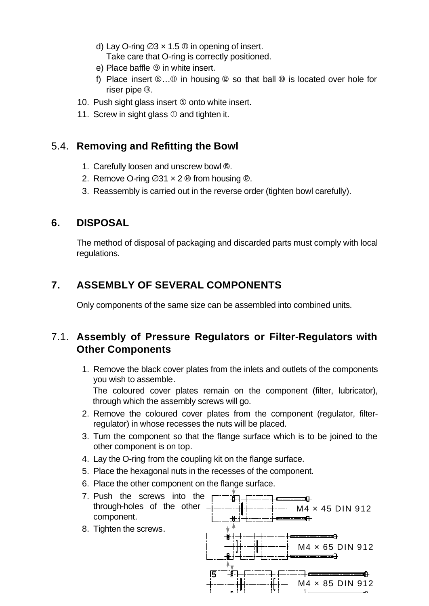- d) Lay O-ring  $\varnothing$ 3 x 1.5  $\varnothing$  in opening of insert. Take care that O-ring is correctly positioned.
- e) Place baffle  $\circledcirc$  in white insert.
- f) Place insert  $\mathbb{G} \dots \mathbb{G}$  in housing  $\mathbb{Q}$  so that ball  $\mathbb{Q}$  is located over hole for riser pipe ë.
- 10. Push sight glass insert Ö onto white insert.
- 11. Screw in sight glass  $\mathbb O$  and tighten it.

#### 5.4. **Removing and Refitting the Bowl**

- 1. Carefully loosen and unscrew bowl *D*.
- 2. Remove O-ring  $\varnothing$ 31 x 2  $\omega$  from housing  $\varnothing$ .
- 3. Reassembly is carried out in the reverse order (tighten bowl carefully).

#### **6. DISPOSAL**

The method of disposal of packaging and discarded parts must comply with local regulations.

# **7. ASSEMBLY OF SEVERAL COMPONENTS**

Only components of the same size can be assembled into combined units.

#### 7.1. **Assembly of Pressure Regulators or Filter-Regulators with Other Components**

1. Remove the black cover plates from the inlets and outlets of the components you wish to assemble.

The coloured cover plates remain on the component (filter, lubricator), through which the assembly screws will go.

- 2. Remove the coloured cover plates from the component (regulator, filterregulator) in whose recesses the nuts will be placed.
- 3. Turn the component so that the flange surface which is to be joined to the other component is on top.
- 4. Lay the O-ring from the coupling kit on the flange surface.
- 5. Place the hexagonal nuts in the recesses of the component.
- 6. Place the other component on the flange surface.
- 7. Push the screws into the க்⊤ æ. through-holes of the other M4 × 45 DIN 912 component. ⊕ । 8. Tighten the screws. M4 × 65 DIN 912 **5** M4 × 85 DIN 912